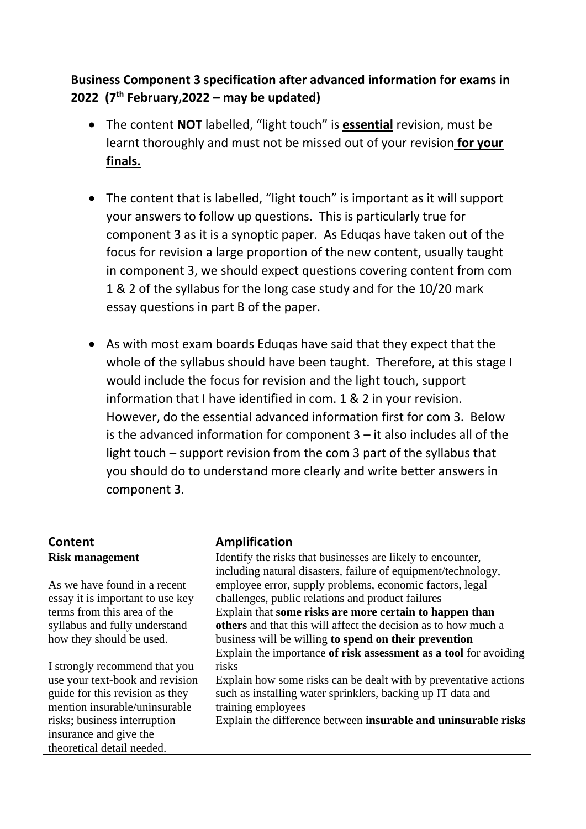## **Business Component 3 specification after advanced information for exams in 2022 (7th February,2022 – may be updated)**

- The content **NOT** labelled, "light touch" is **essential** revision, must be learnt thoroughly and must not be missed out of your revision **for your finals.**
- The content that is labelled, "light touch" is important as it will support your answers to follow up questions. This is particularly true for component 3 as it is a synoptic paper. As Eduqas have taken out of the focus for revision a large proportion of the new content, usually taught in component 3, we should expect questions covering content from com 1 & 2 of the syllabus for the long case study and for the 10/20 mark essay questions in part B of the paper.
- As with most exam boards Eduqas have said that they expect that the whole of the syllabus should have been taught. Therefore, at this stage I would include the focus for revision and the light touch, support information that I have identified in com. 1 & 2 in your revision. However, do the essential advanced information first for com 3. Below is the advanced information for component 3 – it also includes all of the light touch – support revision from the com 3 part of the syllabus that you should do to understand more clearly and write better answers in component 3.

| Content                          | <b>Amplification</b>                                             |
|----------------------------------|------------------------------------------------------------------|
| <b>Risk management</b>           | Identify the risks that businesses are likely to encounter,      |
|                                  | including natural disasters, failure of equipment/technology,    |
| As we have found in a recent     | employee error, supply problems, economic factors, legal         |
| essay it is important to use key | challenges, public relations and product failures                |
| terms from this area of the      | Explain that some risks are more certain to happen than          |
| syllabus and fully understand    | others and that this will affect the decision as to how much a   |
| how they should be used.         | business will be willing to spend on their prevention            |
|                                  | Explain the importance of risk assessment as a tool for avoiding |
| I strongly recommend that you    | risks                                                            |
| use your text-book and revision  | Explain how some risks can be dealt with by preventative actions |
| guide for this revision as they  | such as installing water sprinklers, backing up IT data and      |
| mention insurable/uninsurable    | training employees                                               |
| risks; business interruption     | Explain the difference between insurable and uninsurable risks   |
| insurance and give the           |                                                                  |
| theoretical detail needed.       |                                                                  |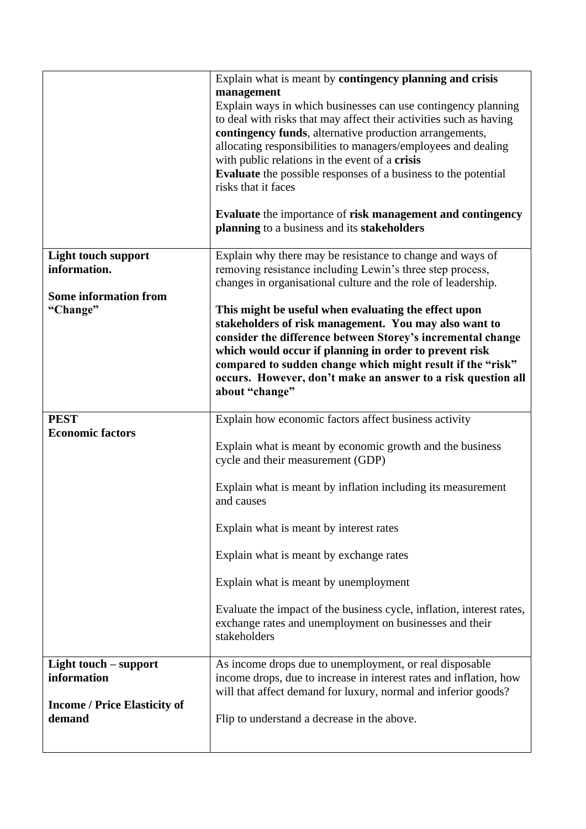|                                                                                       | Explain what is meant by contingency planning and crisis<br>management<br>Explain ways in which businesses can use contingency planning<br>to deal with risks that may affect their activities such as having<br>contingency funds, alternative production arrangements,<br>allocating responsibilities to managers/employees and dealing<br>with public relations in the event of a crisis<br><b>Evaluate</b> the possible responses of a business to the potential<br>risks that it faces<br>Evaluate the importance of risk management and contingency<br>planning to a business and its stakeholders |
|---------------------------------------------------------------------------------------|----------------------------------------------------------------------------------------------------------------------------------------------------------------------------------------------------------------------------------------------------------------------------------------------------------------------------------------------------------------------------------------------------------------------------------------------------------------------------------------------------------------------------------------------------------------------------------------------------------|
| <b>Light touch support</b><br>information.                                            | Explain why there may be resistance to change and ways of<br>removing resistance including Lewin's three step process,<br>changes in organisational culture and the role of leadership.                                                                                                                                                                                                                                                                                                                                                                                                                  |
| <b>Some information from</b><br>"Change"                                              | This might be useful when evaluating the effect upon<br>stakeholders of risk management. You may also want to<br>consider the difference between Storey's incremental change<br>which would occur if planning in order to prevent risk<br>compared to sudden change which might result if the "risk"<br>occurs. However, don't make an answer to a risk question all<br>about "change"                                                                                                                                                                                                                   |
| <b>PEST</b><br><b>Economic factors</b>                                                | Explain how economic factors affect business activity<br>Explain what is meant by economic growth and the business<br>cycle and their measurement (GDP)<br>Explain what is meant by inflation including its measurement<br>and causes<br>Explain what is meant by interest rates<br>Explain what is meant by exchange rates<br>Explain what is meant by unemployment<br>Evaluate the impact of the business cycle, inflation, interest rates,<br>exchange rates and unemployment on businesses and their<br>stakeholders                                                                                 |
| Light touch – support<br>information<br><b>Income / Price Elasticity of</b><br>demand | As income drops due to unemployment, or real disposable<br>income drops, due to increase in interest rates and inflation, how<br>will that affect demand for luxury, normal and inferior goods?<br>Flip to understand a decrease in the above.                                                                                                                                                                                                                                                                                                                                                           |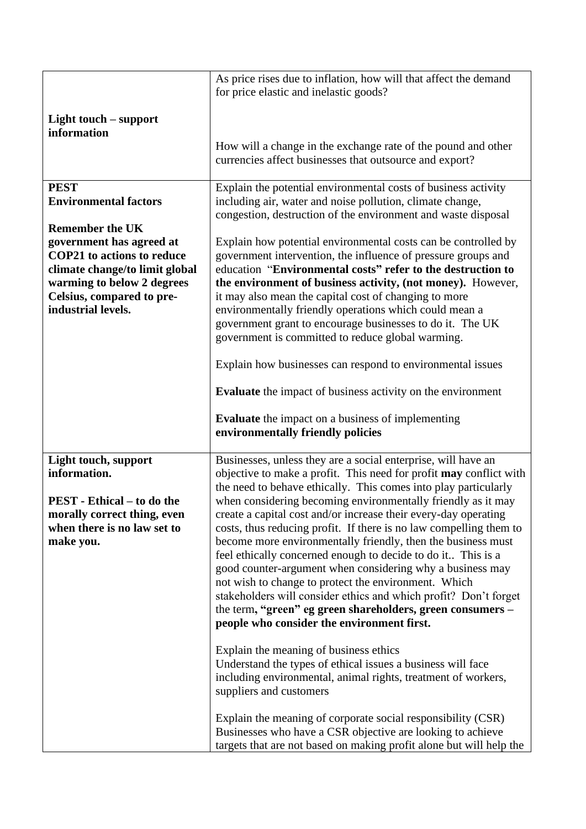|                                                                  | As price rises due to inflation, how will that affect the demand                                                                |
|------------------------------------------------------------------|---------------------------------------------------------------------------------------------------------------------------------|
|                                                                  | for price elastic and inelastic goods?                                                                                          |
| Light touch – support<br>information                             |                                                                                                                                 |
|                                                                  | How will a change in the exchange rate of the pound and other<br>currencies affect businesses that outsource and export?        |
| <b>PEST</b><br><b>Environmental factors</b>                      | Explain the potential environmental costs of business activity<br>including air, water and noise pollution, climate change,     |
|                                                                  | congestion, destruction of the environment and waste disposal                                                                   |
| <b>Remember the UK</b><br>government has agreed at               | Explain how potential environmental costs can be controlled by                                                                  |
| <b>COP21</b> to actions to reduce                                | government intervention, the influence of pressure groups and                                                                   |
| climate change/to limit global                                   | education "Environmental costs" refer to the destruction to                                                                     |
| warming to below 2 degrees                                       | the environment of business activity, (not money). However,                                                                     |
| Celsius, compared to pre-<br>industrial levels.                  | it may also mean the capital cost of changing to more<br>environmentally friendly operations which could mean a                 |
|                                                                  | government grant to encourage businesses to do it. The UK                                                                       |
|                                                                  | government is committed to reduce global warming.                                                                               |
|                                                                  | Explain how businesses can respond to environmental issues                                                                      |
|                                                                  | <b>Evaluate</b> the impact of business activity on the environment                                                              |
|                                                                  |                                                                                                                                 |
|                                                                  | <b>Evaluate</b> the impact on a business of implementing<br>environmentally friendly policies                                   |
| Light touch, support                                             | Businesses, unless they are a social enterprise, will have an                                                                   |
| information.                                                     | objective to make a profit. This need for profit may conflict with                                                              |
|                                                                  | the need to behave ethically. This comes into play particularly                                                                 |
| <b>PEST</b> - Ethical – to do the<br>morally correct thing, even | when considering becoming environmentally friendly as it may<br>create a capital cost and/or increase their every-day operating |
| when there is no law set to                                      | costs, thus reducing profit. If there is no law compelling them to                                                              |
| make you.                                                        | become more environmentally friendly, then the business must                                                                    |
|                                                                  | feel ethically concerned enough to decide to do it This is a<br>good counter-argument when considering why a business may       |
|                                                                  | not wish to change to protect the environment. Which                                                                            |
|                                                                  | stakeholders will consider ethics and which profit? Don't forget                                                                |
|                                                                  | the term, "green" eg green shareholders, green consumers -<br>people who consider the environment first.                        |
|                                                                  |                                                                                                                                 |
|                                                                  | Explain the meaning of business ethics<br>Understand the types of ethical issues a business will face                           |
|                                                                  | including environmental, animal rights, treatment of workers,<br>suppliers and customers                                        |
|                                                                  | Explain the meaning of corporate social responsibility (CSR)                                                                    |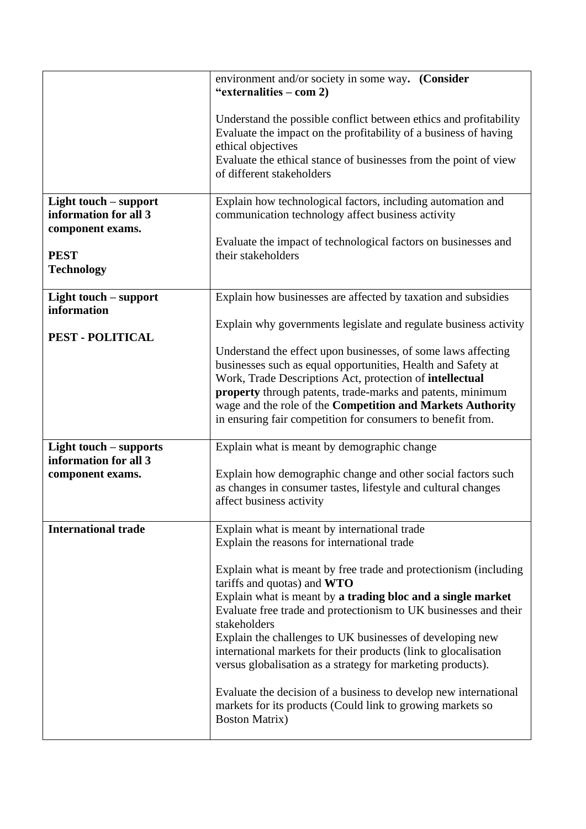|                                                                                                        | environment and/or society in some way. (Consider<br>"externalities – com 2)<br>Understand the possible conflict between ethics and profitability<br>Evaluate the impact on the profitability of a business of having<br>ethical objectives<br>Evaluate the ethical stance of businesses from the point of view<br>of different stakeholders                                                                                                                                                                                                                                                                                                                                                                 |
|--------------------------------------------------------------------------------------------------------|--------------------------------------------------------------------------------------------------------------------------------------------------------------------------------------------------------------------------------------------------------------------------------------------------------------------------------------------------------------------------------------------------------------------------------------------------------------------------------------------------------------------------------------------------------------------------------------------------------------------------------------------------------------------------------------------------------------|
| Light touch – support<br>information for all 3<br>component exams.<br><b>PEST</b><br><b>Technology</b> | Explain how technological factors, including automation and<br>communication technology affect business activity<br>Evaluate the impact of technological factors on businesses and<br>their stakeholders                                                                                                                                                                                                                                                                                                                                                                                                                                                                                                     |
| Light touch – support<br>information                                                                   | Explain how businesses are affected by taxation and subsidies<br>Explain why governments legislate and regulate business activity                                                                                                                                                                                                                                                                                                                                                                                                                                                                                                                                                                            |
| <b>PEST - POLITICAL</b>                                                                                | Understand the effect upon businesses, of some laws affecting<br>businesses such as equal opportunities, Health and Safety at<br>Work, Trade Descriptions Act, protection of intellectual<br>property through patents, trade-marks and patents, minimum<br>wage and the role of the Competition and Markets Authority<br>in ensuring fair competition for consumers to benefit from.                                                                                                                                                                                                                                                                                                                         |
| Light touch – supports<br>information for all 3<br>component exams.                                    | Explain what is meant by demographic change<br>Explain how demographic change and other social factors such<br>as changes in consumer tastes, lifestyle and cultural changes<br>affect business activity                                                                                                                                                                                                                                                                                                                                                                                                                                                                                                     |
| <b>International trade</b>                                                                             | Explain what is meant by international trade<br>Explain the reasons for international trade<br>Explain what is meant by free trade and protectionism (including<br>tariffs and quotas) and WTO<br>Explain what is meant by a trading bloc and a single market<br>Evaluate free trade and protectionism to UK businesses and their<br>stakeholders<br>Explain the challenges to UK businesses of developing new<br>international markets for their products (link to glocalisation<br>versus globalisation as a strategy for marketing products).<br>Evaluate the decision of a business to develop new international<br>markets for its products (Could link to growing markets so<br><b>Boston Matrix</b> ) |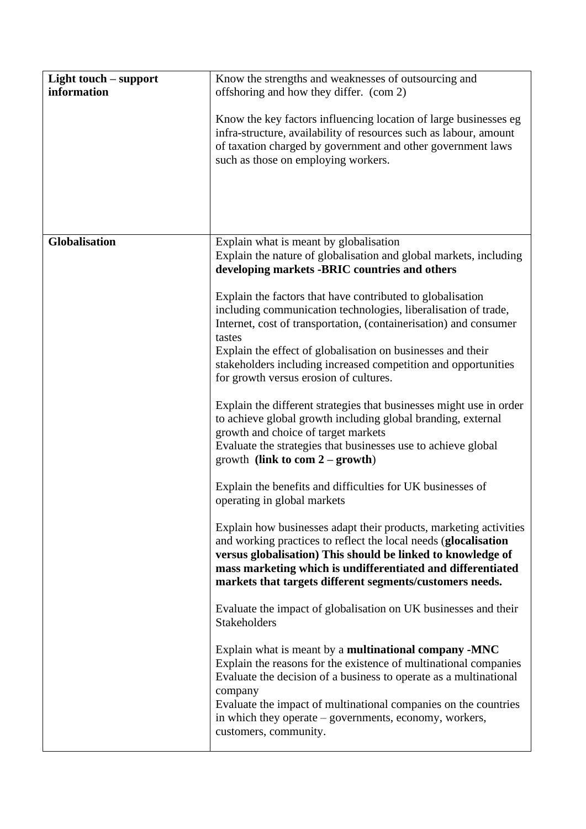| Light touch – support<br>information | Know the strengths and weaknesses of outsourcing and<br>offshoring and how they differ. (com 2)<br>Know the key factors influencing location of large businesses eg<br>infra-structure, availability of resources such as labour, amount<br>of taxation charged by government and other government laws<br>such as those on employing workers.                                                                                                                                                                                                                                                                                                                                                                                                                                                                                                                                                                                                                                                                                                                                                            |
|--------------------------------------|-----------------------------------------------------------------------------------------------------------------------------------------------------------------------------------------------------------------------------------------------------------------------------------------------------------------------------------------------------------------------------------------------------------------------------------------------------------------------------------------------------------------------------------------------------------------------------------------------------------------------------------------------------------------------------------------------------------------------------------------------------------------------------------------------------------------------------------------------------------------------------------------------------------------------------------------------------------------------------------------------------------------------------------------------------------------------------------------------------------|
| Globalisation                        | Explain what is meant by globalisation<br>Explain the nature of globalisation and global markets, including<br>developing markets -BRIC countries and others                                                                                                                                                                                                                                                                                                                                                                                                                                                                                                                                                                                                                                                                                                                                                                                                                                                                                                                                              |
|                                      | Explain the factors that have contributed to globalisation<br>including communication technologies, liberalisation of trade,<br>Internet, cost of transportation, (containerisation) and consumer<br>tastes<br>Explain the effect of globalisation on businesses and their<br>stakeholders including increased competition and opportunities<br>for growth versus erosion of cultures.<br>Explain the different strategies that businesses might use in order<br>to achieve global growth including global branding, external<br>growth and choice of target markets<br>Evaluate the strategies that businesses use to achieve global<br>growth (link to com $2 -$ growth)<br>Explain the benefits and difficulties for UK businesses of<br>operating in global markets<br>Explain how businesses adapt their products, marketing activities<br>and working practices to reflect the local needs (glocalisation<br>versus globalisation) This should be linked to knowledge of<br>mass marketing which is undifferentiated and differentiated<br>markets that targets different segments/customers needs. |
|                                      | Evaluate the impact of globalisation on UK businesses and their<br><b>Stakeholders</b><br>Explain what is meant by a <b>multinational company -MNC</b>                                                                                                                                                                                                                                                                                                                                                                                                                                                                                                                                                                                                                                                                                                                                                                                                                                                                                                                                                    |
|                                      | Explain the reasons for the existence of multinational companies<br>Evaluate the decision of a business to operate as a multinational<br>company<br>Evaluate the impact of multinational companies on the countries<br>in which they operate – governments, economy, workers,<br>customers, community.                                                                                                                                                                                                                                                                                                                                                                                                                                                                                                                                                                                                                                                                                                                                                                                                    |